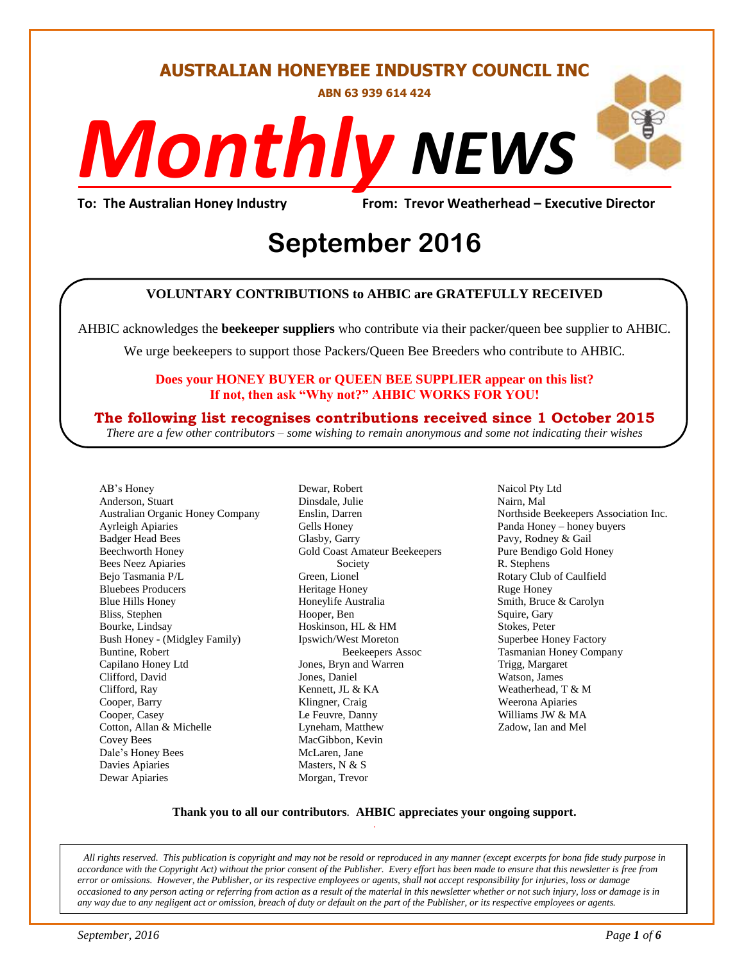#### **AUSTRALIAN HONEYBEE INDUSTRY COUNCIL INC**

**ABN 63 939 614 424**

# *NEWS Monthly*

**To: The Australian Honey Industry From: Trevor Weatherhead – Executive Director**

## *DS* **September 2016**

#### **VOLUNTARY CONTRIBUTIONS to AHBIC are GRATEFULLY RECEIVED**

AHBIC acknowledges the **beekeeper suppliers** who contribute via their packer/queen bee supplier to AHBIC.

We urge beekeepers to support those Packers/Queen Bee Breeders who contribute to AHBIC.

#### **Does your HONEY BUYER or QUEEN BEE SUPPLIER appear on this list? If not, then ask "Why not?" AHBIC WORKS FOR YOU!**

#### **The following list recognises contributions received since 1 October 2015**

*There are a few other contributors – some wishing to remain anonymous and some not indicating their wishes*

AB's Honey Anderson, Stuart Australian Organic Honey Company Ayrleigh Apiaries Badger Head Bees Beechworth Honey Bees Neez Apiaries Bejo Tasmania P/L Bluebees Producers Blue Hills Honey Bliss, Stephen Bourke, Lindsay Bush Honey - (Midgley Family) Buntine, Robert Capilano Honey Ltd Clifford, David Clifford, Ray Cooper, Barry Cooper, Casey Cotton, Allan & Michelle Covey Bees Dale's Honey Bees Davies Apiaries Dewar Apiaries

Dewar, Robert Dinsdale, Julie Enslin, Darren Gells Honey Glasby, Garry Gold Coast Amateur Beekeepers Society Green, Lionel Heritage Honey Honeylife Australia Hooper, Ben Hoskinson, HL & HM Ipswich/West Moreton Beekeepers Assoc Jones, Bryn and Warren Jones, Daniel Kennett, JL & KA Klingner, Craig Le Feuvre, Danny Lyneham, Matthew MacGibbon, Kevin McLaren, Jane Masters, N & S Morgan, Trevor

Naicol Pty Ltd Nairn, Mal Northside Beekeepers Association Inc. Panda Honey – honey buyers Pavy, Rodney & Gail Pure Bendigo Gold Honey R. Stephens Rotary Club of Caulfield Ruge Honey Smith, Bruce & Carolyn Squire, Gary Stokes, Peter Superbee Honey Factory Tasmanian Honey Company Trigg, Margaret Watson, James Weatherhead, T & M Weerona Apiaries Williams JW & MA Zadow, Ian and Mel

#### **Thank you to all our contributors***.* **AHBIC appreciates your ongoing support.** .

*All rights reserved. This publication is copyright and may not be resold or reproduced in any manner (except excerpts for bona fide study purpose in accordance with the Copyright Act) without the prior consent of the Publisher. Every effort has been made to ensure that this newsletter is free from error or omissions. However, the Publisher, or its respective employees or agents, shall not accept responsibility for injuries, loss or damage occasioned to any person acting or referring from action as a result of the material in this newsletter whether or not such injury, loss or damage is in any way due to any negligent act or omission, breach of duty or default on the part of the Publisher, or its respective employees or agents.*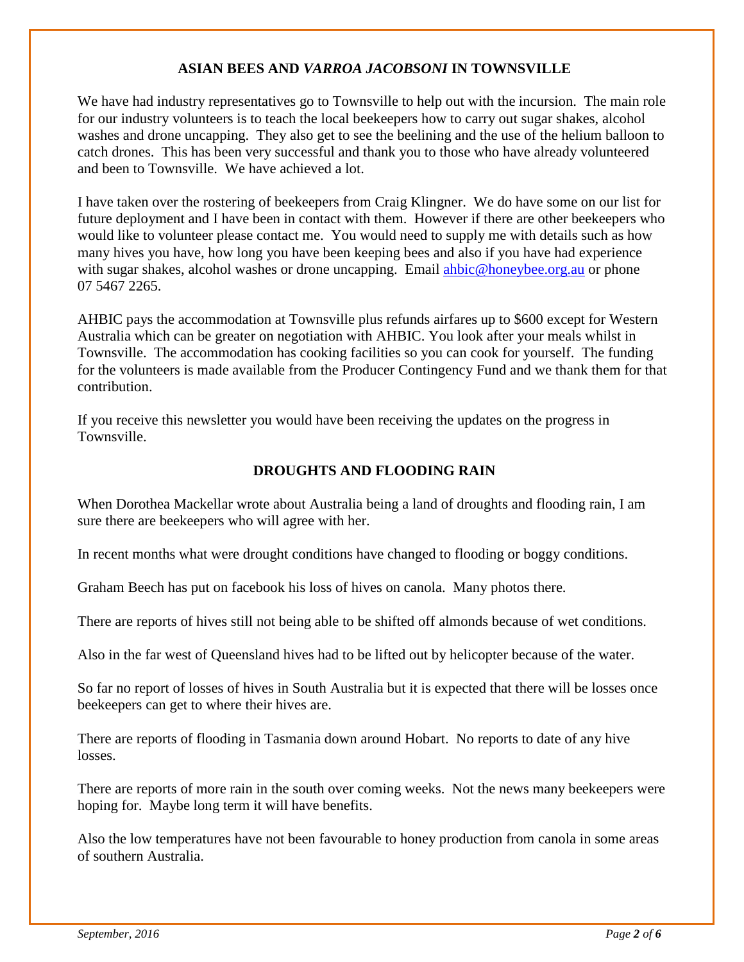#### **ASIAN BEES AND** *VARROA JACOBSONI* **IN TOWNSVILLE**

We have had industry representatives go to Townsville to help out with the incursion. The main role for our industry volunteers is to teach the local beekeepers how to carry out sugar shakes, alcohol washes and drone uncapping. They also get to see the beelining and the use of the helium balloon to catch drones. This has been very successful and thank you to those who have already volunteered and been to Townsville. We have achieved a lot.

I have taken over the rostering of beekeepers from Craig Klingner. We do have some on our list for future deployment and I have been in contact with them. However if there are other beekeepers who would like to volunteer please contact me. You would need to supply me with details such as how many hives you have, how long you have been keeping bees and also if you have had experience with sugar shakes, alcohol washes or drone uncapping. Email [ahbic@honeybee.org.au](mailto:ahbic@honeybee.org.au) or phone 07 5467 2265.

AHBIC pays the accommodation at Townsville plus refunds airfares up to \$600 except for Western Australia which can be greater on negotiation with AHBIC. You look after your meals whilst in Townsville. The accommodation has cooking facilities so you can cook for yourself. The funding for the volunteers is made available from the Producer Contingency Fund and we thank them for that contribution.

If you receive this newsletter you would have been receiving the updates on the progress in Townsville.

#### **DROUGHTS AND FLOODING RAIN**

When Dorothea Mackellar wrote about Australia being a land of droughts and flooding rain, I am sure there are beekeepers who will agree with her.

In recent months what were drought conditions have changed to flooding or boggy conditions.

Graham Beech has put on facebook his loss of hives on canola. Many photos there.

There are reports of hives still not being able to be shifted off almonds because of wet conditions.

Also in the far west of Queensland hives had to be lifted out by helicopter because of the water.

So far no report of losses of hives in South Australia but it is expected that there will be losses once beekeepers can get to where their hives are.

There are reports of flooding in Tasmania down around Hobart. No reports to date of any hive losses.

There are reports of more rain in the south over coming weeks. Not the news many beekeepers were hoping for. Maybe long term it will have benefits.

Also the low temperatures have not been favourable to honey production from canola in some areas of southern Australia.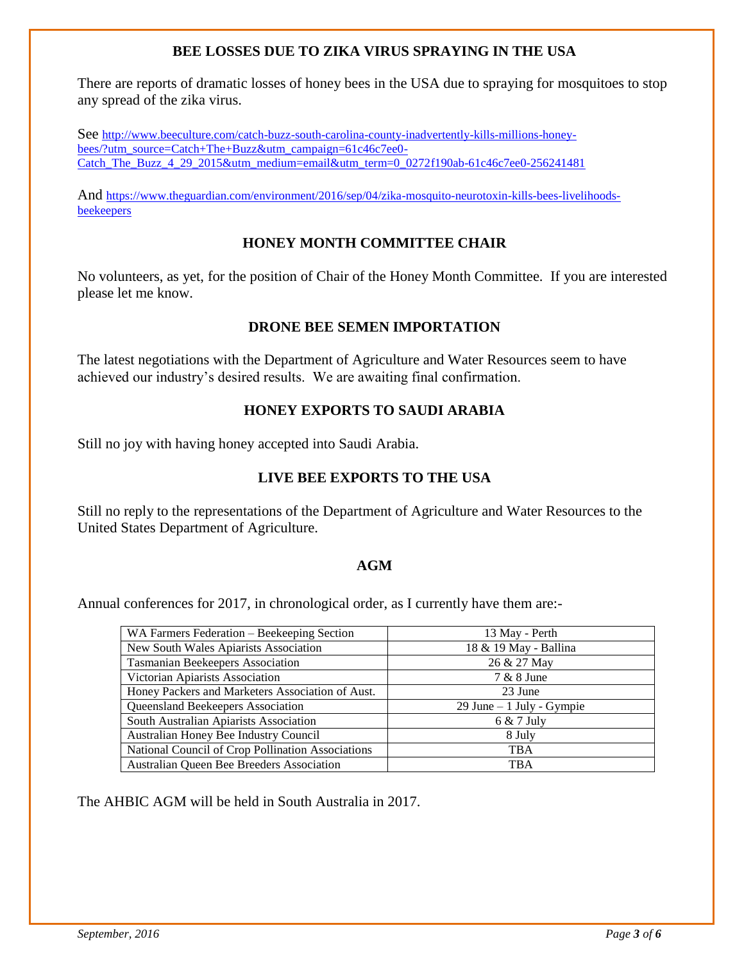#### **BEE LOSSES DUE TO ZIKA VIRUS SPRAYING IN THE USA**

There are reports of dramatic losses of honey bees in the USA due to spraying for mosquitoes to stop any spread of the zika virus.

See [http://www.beeculture.com/catch-buzz-south-carolina-county-inadvertently-kills-millions-honey](http://www.beeculture.com/catch-buzz-south-carolina-county-inadvertently-kills-millions-honey-bees/?utm_source=Catch+The+Buzz&utm_campaign=61c46c7ee0-Catch_The_Buzz_4_29_2015&utm_medium=email&utm_term=0_0272f190ab-61c46c7ee0-256241481)[bees/?utm\\_source=Catch+The+Buzz&utm\\_campaign=61c46c7ee0-](http://www.beeculture.com/catch-buzz-south-carolina-county-inadvertently-kills-millions-honey-bees/?utm_source=Catch+The+Buzz&utm_campaign=61c46c7ee0-Catch_The_Buzz_4_29_2015&utm_medium=email&utm_term=0_0272f190ab-61c46c7ee0-256241481) [Catch\\_The\\_Buzz\\_4\\_29\\_2015&utm\\_medium=email&utm\\_term=0\\_0272f190ab-61c46c7ee0-256241481](http://www.beeculture.com/catch-buzz-south-carolina-county-inadvertently-kills-millions-honey-bees/?utm_source=Catch+The+Buzz&utm_campaign=61c46c7ee0-Catch_The_Buzz_4_29_2015&utm_medium=email&utm_term=0_0272f190ab-61c46c7ee0-256241481)

And [https://www.theguardian.com/environment/2016/sep/04/zika-mosquito-neurotoxin-kills-bees-livelihoods](https://www.theguardian.com/environment/2016/sep/04/zika-mosquito-neurotoxin-kills-bees-livelihoods-beekeepers)[beekeepers](https://www.theguardian.com/environment/2016/sep/04/zika-mosquito-neurotoxin-kills-bees-livelihoods-beekeepers)

#### **HONEY MONTH COMMITTEE CHAIR**

No volunteers, as yet, for the position of Chair of the Honey Month Committee. If you are interested please let me know.

#### **DRONE BEE SEMEN IMPORTATION**

The latest negotiations with the Department of Agriculture and Water Resources seem to have achieved our industry's desired results. We are awaiting final confirmation.

#### **HONEY EXPORTS TO SAUDI ARABIA**

Still no joy with having honey accepted into Saudi Arabia.

#### **LIVE BEE EXPORTS TO THE USA**

Still no reply to the representations of the Department of Agriculture and Water Resources to the United States Department of Agriculture.

#### **AGM**

Annual conferences for 2017, in chronological order, as I currently have them are:-

| WA Farmers Federation – Beekeeping Section        | 13 May - Perth             |
|---------------------------------------------------|----------------------------|
| New South Wales Apiarists Association             | 18 & 19 May - Ballina      |
| Tasmanian Beekeepers Association                  | 26 & 27 May                |
| Victorian Apiarists Association                   | 7 & 8 June                 |
| Honey Packers and Marketers Association of Aust.  | 23 June                    |
| Queensland Beekeepers Association                 | 29 June $-1$ July - Gympie |
| South Australian Apiarists Association            | 6 & 7 July                 |
| Australian Honey Bee Industry Council             | 8 July                     |
| National Council of Crop Pollination Associations | <b>TBA</b>                 |
| Australian Queen Bee Breeders Association         | <b>TBA</b>                 |

The AHBIC AGM will be held in South Australia in 2017.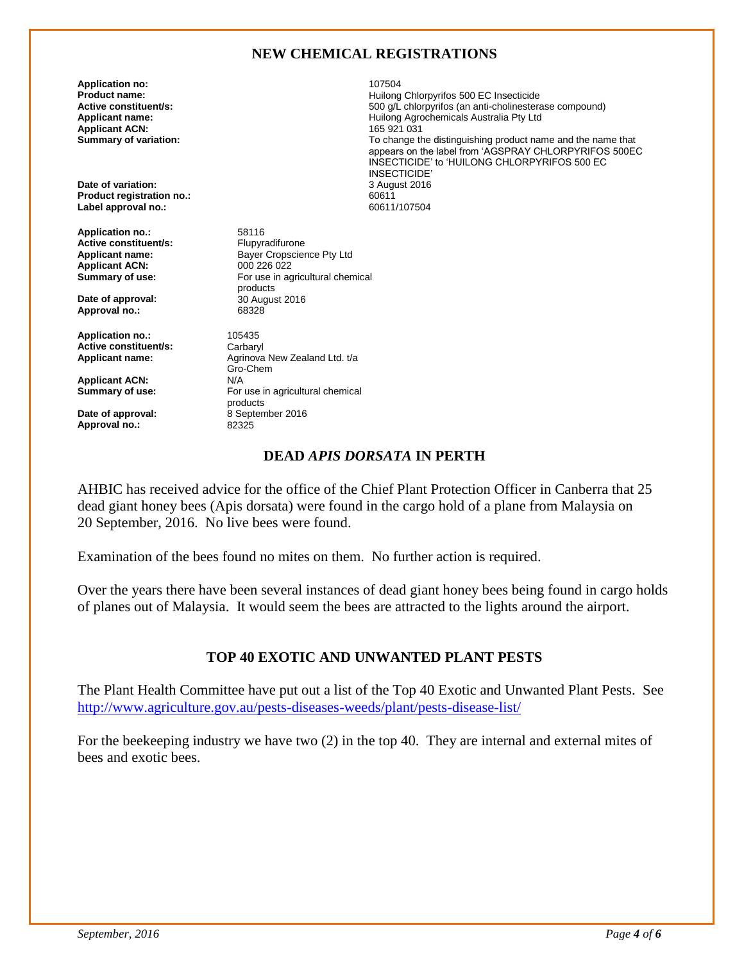#### **NEW CHEMICAL REGISTRATIONS**

**Application no:** 107504 **Applicant ACN:**<br>Summary of variation:

**Date of variation:** 3 August 2016 **Product registration no.:** 60611 Label approval no.:

**Application no.:** 58116<br> **Active constituent/s:** Flupyradifurone **Active constituent/s:**<br>Applicant name: Applicant ACN:<br>Summary of use:

**Date of approval:** <sup>30</sup> August 2016<br> **Approval no.:** 68328 **Approval no.:** 

**Application no.:** 105435<br> **Active constituent/s:** Carbaryl **Active constituent/s:**<br>Applicant name:

**Applicant ACN:**<br>Summary of use:

**Date of approval:** <br>**8 September 2016**<br>**82325 Approval no.:** 

**Product name: Product name: Active constituent/s: Active constituent/s: Active constituent/s: Active constituent/s: Active constituent/s: Active constituent/s: Active constituent/s: Active constituent/s:** 500 g/L chlorpyrifos (an anti-cholinesterase compound) **Applicant name: Applicant name: Applicant name: Applicant ACN: Applicant ACN: Applicant ACN: Applicant ACN: Applicant ACN: Applicant ACN: Applicant ACN: Applicant ACN: Applicant ACN: Applicant ACN:** To change the distinguishing product name and the name that appears on the label from 'AGSPRAY CHLORPYRIFOS 500EC INSECTICIDE' to 'HUILONG CHLORPYRIFOS 500 EC INSECTICIDE'

> Bayer Cropscience Pty Ltd<br>000 226 022 For use in agricultural chemical products **Applicant name:** Agrinova New Zealand Ltd. t/a Gro-Chem<br>N/A For use in agricultural chemical

products

#### **DEAD** *APIS DORSATA* **IN PERTH**

AHBIC has received advice for the office of the Chief Plant Protection Officer in Canberra that 25 dead giant honey bees (Apis dorsata) were found in the cargo hold of a plane from Malaysia on 20 September, 2016. No live bees were found.

Examination of the bees found no mites on them. No further action is required.

Over the years there have been several instances of dead giant honey bees being found in cargo holds of planes out of Malaysia. It would seem the bees are attracted to the lights around the airport.

#### **TOP 40 EXOTIC AND UNWANTED PLANT PESTS**

The Plant Health Committee have put out a list of the Top 40 Exotic and Unwanted Plant Pests. See <http://www.agriculture.gov.au/pests-diseases-weeds/plant/pests-disease-list/>

For the beekeeping industry we have two (2) in the top 40. They are internal and external mites of bees and exotic bees.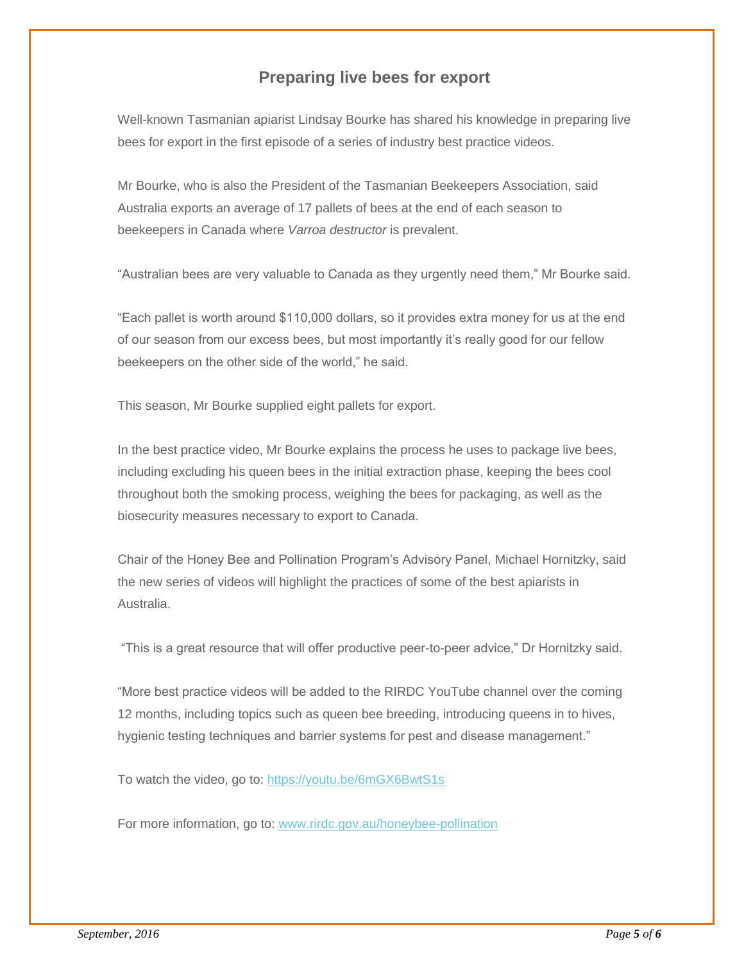#### **Preparing live bees for export**

Well-known Tasmanian apiarist Lindsay Bourke has shared his knowledge in preparing live bees for export in the first episode of a series of industry best practice videos.

Mr Bourke, who is also the President of the Tasmanian Beekeepers Association, said Australia exports an average of 17 pallets of bees at the end of each season to beekeepers in Canada where *Varroa destructor* is prevalent.

"Australian bees are very valuable to Canada as they urgently need them," Mr Bourke said.

"Each pallet is worth around \$110,000 dollars, so it provides extra money for us at the end of our season from our excess bees, but most importantly it's really good for our fellow beekeepers on the other side of the world," he said.

This season, Mr Bourke supplied eight pallets for export.

In the best practice video, Mr Bourke explains the process he uses to package live bees, including excluding his queen bees in the initial extraction phase, keeping the bees cool throughout both the smoking process, weighing the bees for packaging, as well as the biosecurity measures necessary to export to Canada.

Chair of the Honey Bee and Pollination Program's Advisory Panel, Michael Hornitzky, said the new series of videos will highlight the practices of some of the best apiarists in Australia.

"This is a great resource that will offer productive peer-to-peer advice," Dr Hornitzky said.

"More best practice videos will be added to the RIRDC YouTube channel over the coming 12 months, including topics such as queen bee breeding, introducing queens in to hives, hygienic testing techniques and barrier systems for pest and disease management."

To watch the video, go to: [https://youtu.be/6mGX6BwtS1s](http://coxinall.us7.list-manage.com/track/click?u=87f4462512400a53a67349d86&id=b9688750e2&e=99278a1f2d)

For more information, go to: [www.rirdc.gov.au/honeybee-pollination](http://coxinall.us7.list-manage.com/track/click?u=87f4462512400a53a67349d86&id=fb5123c64b&e=99278a1f2d)